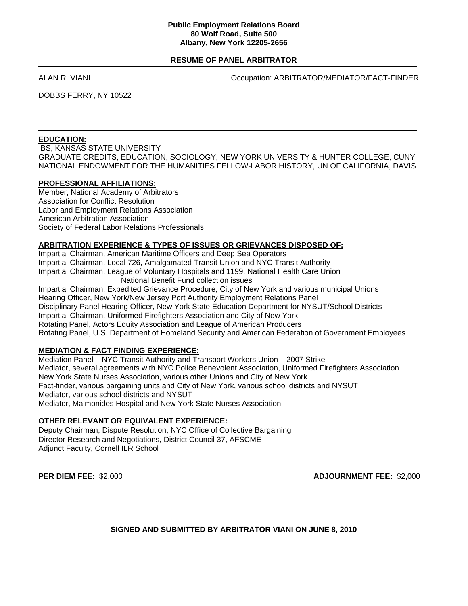#### **Public Employment Relations Board 80 Wolf Road, Suite 500 Albany, New York 12205-2656**

## **RESUME OF PANEL ARBITRATOR**

ALAN R. VIANI Occupation: ARBITRATOR/MEDIATOR/FACT-FINDER

DOBBS FERRY, NY 10522

# **EDUCATION:**

 BS, KANSAS STATE UNIVERSITY GRADUATE CREDITS, EDUCATION, SOCIOLOGY, NEW YORK UNIVERSITY & HUNTER COLLEGE, CUNY NATIONAL ENDOWMENT FOR THE HUMANITIES FELLOW-LABOR HISTORY, UN OF CALIFORNIA, DAVIS

## **PROFESSIONAL AFFILIATIONS:**

Member, National Academy of Arbitrators Association for Conflict Resolution Labor and Employment Relations Association American Arbitration Association Society of Federal Labor Relations Professionals

## **ARBITRATION EXPERIENCE & TYPES OF ISSUES OR GRIEVANCES DISPOSED OF:**

Impartial Chairman, American Maritime Officers and Deep Sea Operators Impartial Chairman, Local 726, Amalgamated Transit Union and NYC Transit Authority Impartial Chairman, League of Voluntary Hospitals and 1199, National Health Care Union National Benefit Fund collection issues Impartial Chairman, Expedited Grievance Procedure, City of New York and various municipal Unions Hearing Officer, New York/New Jersey Port Authority Employment Relations Panel Disciplinary Panel Hearing Officer, New York State Education Department for NYSUT/School Districts Impartial Chairman, Uniformed Firefighters Association and City of New York Rotating Panel, Actors Equity Association and League of American Producers Rotating Panel, U.S. Department of Homeland Security and American Federation of Government Employees

# **MEDIATION & FACT FINDING EXPERIENCE:**

Mediation Panel – NYC Transit Authority and Transport Workers Union – 2007 Strike Mediator, several agreements with NYC Police Benevolent Association, Uniformed Firefighters Association New York State Nurses Association, various other Unions and City of New York Fact-finder, various bargaining units and City of New York, various school districts and NYSUT Mediator, various school districts and NYSUT Mediator, Maimonides Hospital and New York State Nurses Association

# **OTHER RELEVANT OR EQUIVALENT EXPERIENCE:**

Deputy Chairman, Dispute Resolution, NYC Office of Collective Bargaining Director Research and Negotiations, District Council 37, AFSCME Adjunct Faculty, Cornell ILR School

**PER DIEM FEE:** \$2,000 **ADJOURNMENT FEE:** \$2,000

**SIGNED AND SUBMITTED BY ARBITRATOR VIANI ON JUNE 8, 2010**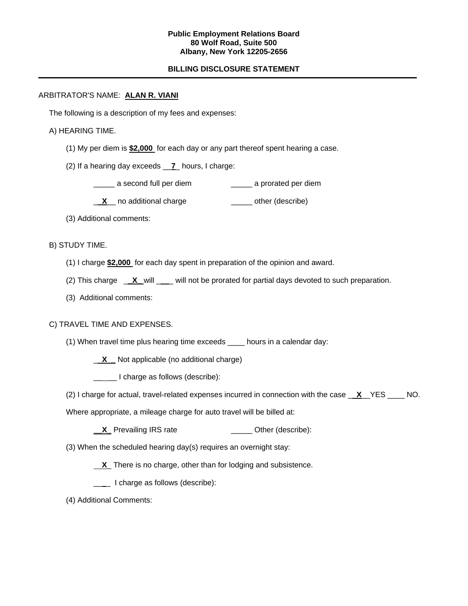#### **Public Employment Relations Board 80 Wolf Road, Suite 500 Albany, New York 12205-2656**

# **BILLING DISCLOSURE STATEMENT**

#### ARBITRATOR'S NAME: **ALAN R. VIANI**

The following is a description of my fees and expenses:

## A) HEARING TIME.

- (1) My per diem is **\$2,000** for each day or any part thereof spent hearing a case.
- (2) If a hearing day exceeds \_\_**7**\_ hours, I charge:
	- \_\_\_\_\_ a second full per diem \_\_\_\_\_ a prorated per diem
	- **X** no additional charge **Witter Contract Contract** cher (describe)
- (3) Additional comments:

## B) STUDY TIME.

- (1) I charge **\$2,000** for each day spent in preparation of the opinion and award.
- (2) This charge \_**\_X\_** will \_\_ will not be prorated for partial days devoted to such preparation.
- (3) Additional comments:

## C) TRAVEL TIME AND EXPENSES.

- (1) When travel time plus hearing time exceeds \_\_\_\_ hours in a calendar day:
	- \_ **X \_** Not applicable (no additional charge)
	- Letter 1 charge as follows (describe):
- (2) I charge for actual, travel-related expenses incurred in connection with the case \_ **X**\_\_YES \_\_\_\_ NO.

Where appropriate, a mileage charge for auto travel will be billed at:

- **\_\_X\_** Prevailing IRS rate \_\_\_\_\_\_\_\_\_\_\_\_\_\_\_\_ Other (describe):
- (3) When the scheduled hearing day(s) requires an overnight stay:
	- **X** There is no charge, other than for lodging and subsistence.
	- \_\_\_ I charge as follows (describe):
- (4) Additional Comments: